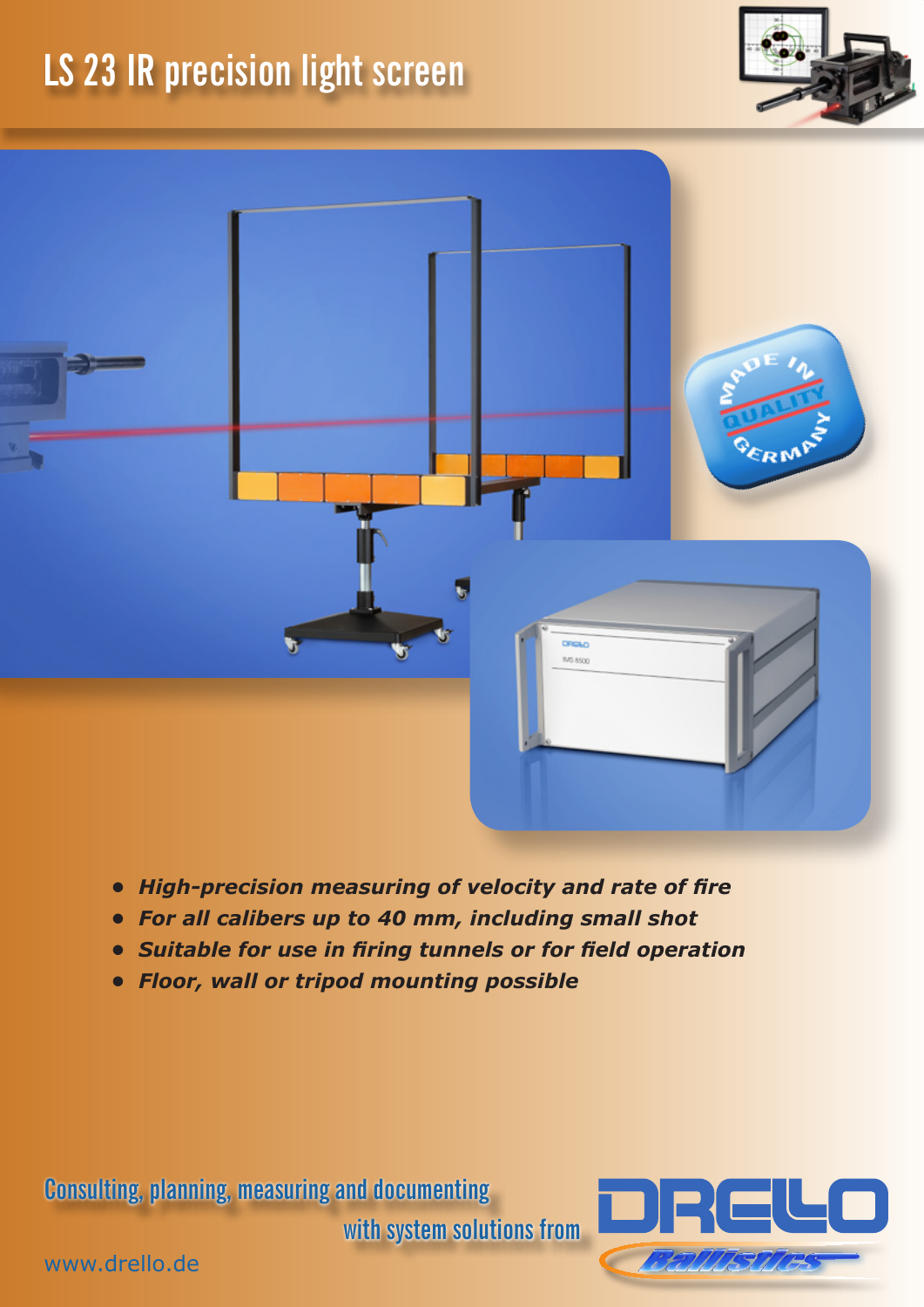## **LS 23 IR precision light screen**





- *• High-precision measuring of velocity and rate of fire*
- *• For all calibers up to 40 mm, including small shot*
- *• Suitable for use in firing tunnels or for field operation*
- *• Floor, wall or tripod mounting possible*

**Consulting, planning, measuring and documenting** 

**with system solutions from**



www.drello.de